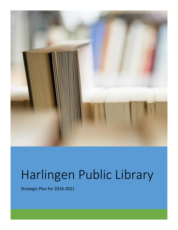

# Harlingen Public Library

Strategic Plan for 2016-2021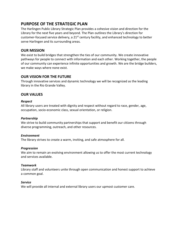# **PURPOSE OF THE STRATEGIC PLAN**

The Harlingen Public Library Strategic Plan provides a cohesive vision and direction for the Library for the next five years and beyond. The Plan outlines the Library's direction for customer-focused service delivery, a 21<sup>st</sup> century facility, and enhanced technology to better serve Harlingen and its surrounding areas.

# **OUR MISSION**

We exist to build bridges that strengthen the ties of our community. We create innovative pathways for people to connect with information and each other. Working together, the people of our community can experience infinite opportunities and growth. We are the bridge builders, we make ways where none exist.

# **OUR VISION FOR THE FUTURE**

Through innovative services and dynamic technology we will be recognized as the leading library in the Rio Grande Valley.

# **OUR VALUES**

#### *Respect*

All library users are treated with dignity and respect without regard to race, gender, age, occupation, socio-economic class, sexual orientation, or religion.

#### *Partnership*

We strive to build community partnerships that support and benefit our citizens through diverse programming, outreach, and other resources.

#### *Environment*

The library strives to create a warm, inviting, and safe atmosphere for all.

#### *Progression*

We aim to remain an evolving environment allowing us to offer the most current technology and services available.

#### *Teamwork*

Library staff and volunteers unite through open communication and honest support to achieve a common goal.

#### *Service*

We will provide all internal and external library users our upmost customer care.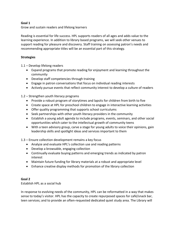#### **Goal 1**

Grow and sustain readers and lifelong learners

Reading is essential for life success. HPL supports readers of all ages and adds value to the learning experience. In addition to library based programs, we will seek other venues to support reading for pleasure and discovery. Staff training on assessing patron's needs and recommending appropriate titles will be an essential part of this strategy.

#### **Strategies**

1.1 – Develop lifelong readers

- Expand programs that promote reading for enjoyment and learning throughout the community
- Develop staff competencies through training
- Engage in patron conversations that focus on individual reading interests
- Actively pursue events that reflect community interest to develop a culture of readers

#### 1.2 – Strengthen youth literacy programs

- Provide a robust program of storytimes and lapsits for children from birth to five
- Create space at HPL for preschool children to engage in interactive learning activities
- Offer quality programming that supports school curriculums
- Seek partnerships with other youth literacy providers in the community
- Establish a young adult agenda to include programs, events, seminars, and other social opportunities which cater to the intellectual growth of community teens
- With a teen advisory group, carve a stage for young adults to voice their opinions, gain leadership skills and spotlight ideas and services important to them

#### 1.3 – Ensure collection development remains a key focus

- Analyze and evaluate HPL's collection use and reading patterns
- Develop a browsable, engaging collection
- Continually evaluate buying patterns and emerging trends as indicated by patron interest
- Maintain future funding for library materials at a robust and appropriate level
- Enhance creative display methods for promotion of the library collection

#### **Goal 2**

Establish HPL as a social hub

In response to evolving needs of the community, HPL can be reformatted in a way that makes sense to today's visitor. HPL has the capacity to create repurposed spaces for café/snack bar, teen services; and to provide an often-requested dedicated quiet study area. The Library will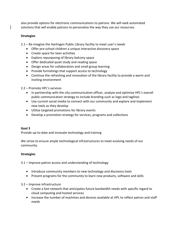also provide options for electronic communications to patrons. We will seek automated solutions that will enable patrons to personalize the way they use our resources.

#### **Strategies**

2.1 – Re-imagine the Harlingen Public Library facility to meet user's needs

- Offer pre-school children a unique interactive discovery space
- Create space for teen activities
- Explore repurposing of library balcony space
- Offer dedicated quiet study and reading space
- Design areas for collaboration and small group learning
- Provide furnishings that support access to technology
- Continue the refreshing and renovation of the library facility to provide a warm and inviting environment

2.2 – Promote HPL's services

- In partnership with the city communication officer, analyze and optimize HPL's overall public communication strategy to include branding such as logo and taglines
- Use current social media to connect with our community and explore and implement new tools as they develop
- Utilize targeted promotions for library events
- Develop a promotion strategy for services, programs and collections

#### **Goal 3**

Provide up-to-date and innovate technology and training

We strive to ensure ample technological infrastructures to meet evolving needs of our community.

#### **Strategies**

3.1 – Improve patron access and understanding of technology

- Introduce community members to new technology and discovery tools
- Present programs for the community to learn new products, software and skills

3.2 – Improve infrastructure

- Create a fast network that anticipates future bandwidth needs with specific regard to cloud computing and hosted services
- Increase the number of machines and devices available at HPL to reflect patron and staff needs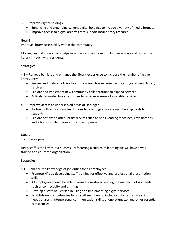3.3 – Improve digital holdings

- Enhancing and expanding current digital holdings to include a variety of media formats
- Improve access to digital archives that support local history research

## **Goal 4**

Improve library accessibility within the community

Moving beyond library walls helps us understand our community in new ways and brings the library in touch with residents.

## **Strategies**

4.1 – Remove barriers and enhance the library experience to increase the number of active library users

- Review and update policies to ensure a seamless experience in getting and using library services
- Explore and implement new community collaborations to expand services
- Actively promote library resources to raise awareness of available services

4.2 – Improve access to underserved areas of Harlingen

- Partner with educational institutions to offer digital access membership cards to students
- Explore options to offer library services such as book vending machines, little libraries, and a book mobile to areas not currently served

# **Goal 5**

Staff Development

HPL's staff is the key to our success. By fostering a culture of learning we will have a welltrained and educated organization.

# **Strategies**

5.1 – Enhance the knowledge of job duties for all employees

- Promote HPL by developing staff training for effective and professional presentation skills
- All employees should be able to answer questions relating to basic technology needs such as connectivity and printing
- Develop a staff well versed in using and implementing digital services
- Establish key competencies for all staff members to include customer service skills, needs analysis, interpersonal communication skills, phone etiquette, and other essential proficiencies